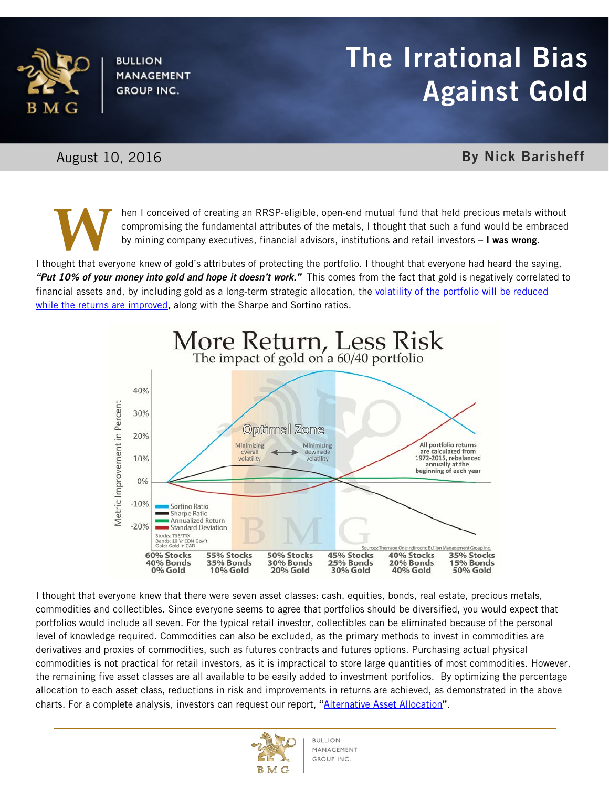

**BULLION MANAGEMENT GROUP INC.** 

## **BOLD BULLION The Irrational Bias** Against Gold

## August 10, 2016 **By Nick Barisheff**

**W**

hen I conceived of creating an RRSP-eligible, open-end mutual fund that held precious metals without compromising the fundamental attributes of the metals, I thought that such a fund would be embraced by mining company executives, financial advisors, institutions and retail investors - I was wrong.

I thought that everyone knew of gold's attributes of protecting the portfolio. I thought that everyone had heard the saying, *"Put 10% of your money into gold and hope it doesn't work."* This comes from the fact that gold is negatively correlated to financial assets and, by including gold as a long-term strategic allocation, the volatility of the portfolio will be reduced [while the returns are improved,](https://youtu.be/NkjTfyuJqko) along with the Sharpe and Sortino ratios.



I thought that everyone knew that there were seven asset classes: cash, equities, bonds, real estate, precious metals, commodities and collectibles. Since everyone seems to agree that portfolios should be diversified, you would expect that portfolios would include all seven. For the typical retail investor, collectibles can be eliminated because of the personal level of knowledge required. Commodities can also be excluded, as the primary methods to invest in commodities are derivatives and proxies of commodities, such as futures contracts and futures options. Purchasing actual physical commodities is not practical for retail investors, as it is impractical to store large quantities of most commodities. However, the remaining five asset classes are all available to be easily added to investment portfolios. By optimizing the percentage allocation to each asset class, reductions in risk and improvements in returns are achieved, as demonstrated in the above charts. For a complete analysis, investors can request our report, "[Alternative Asset Allocation](http://bmgbullion.com/wp-content/uploads/2016/08/Alternative-Asset-Allocation.pdf)".

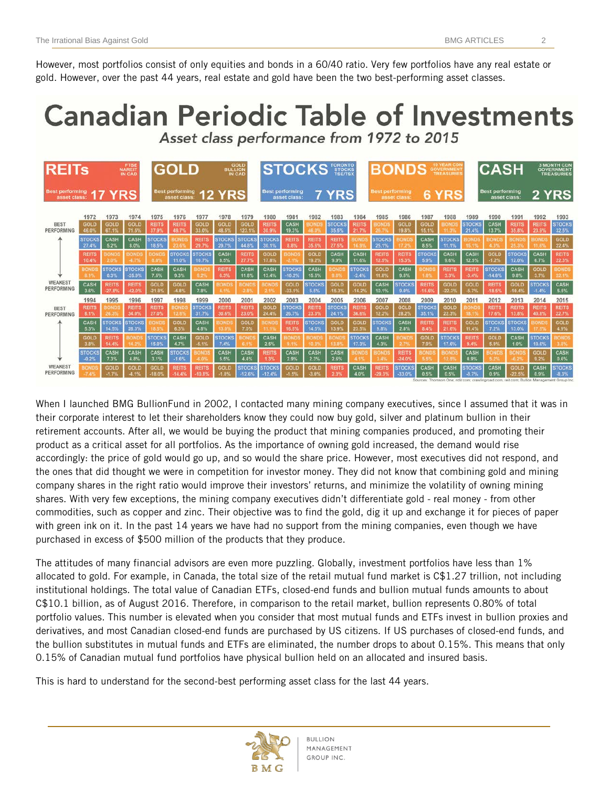However, most portfolios consist of only equities and bonds in a 60/40 ratio. Very few portfolios have any real estate or gold. However, over the past 44 years, real estate and gold have been the two best-performing asset classes.

## **Canadian Periodic Table of Investments** Asset class performance from 1972 to 2015

| <b>REITs</b>                           |                                      |                                               | <b>FTS</b><br><b>NAREIT</b>              |                                        | <b>GOLD</b>                            |                                 | GOLD<br>BULLION<br>IN CAD            |                                        | <b>TORONTO</b><br>STOCKS<br>TSE/TSX<br><b>STOCKS</b> |                                          |                                |                                |                                           | <b>10 YEAR CDI</b><br><b>BONDS</b><br><b>GOVERNMENT</b><br>TREASURIE |                                       |                                  |                                        |                                          | <b>CASH</b>                                 |                                        | <b>3 MONTH CDM</b><br><b>GOVERNMENT</b><br><b>TREASURIES</b> |                                               |
|----------------------------------------|--------------------------------------|-----------------------------------------------|------------------------------------------|----------------------------------------|----------------------------------------|---------------------------------|--------------------------------------|----------------------------------------|------------------------------------------------------|------------------------------------------|--------------------------------|--------------------------------|-------------------------------------------|----------------------------------------------------------------------|---------------------------------------|----------------------------------|----------------------------------------|------------------------------------------|---------------------------------------------|----------------------------------------|--------------------------------------------------------------|-----------------------------------------------|
| <b>Best performing</b><br>asset class: |                                      | YRS                                           |                                          | <b>Best performing</b><br>asset class: |                                        | <b>12 YRS</b>                   |                                      |                                        |                                                      | <b>Best performing</b><br>asset class    |                                | <b>YRS</b>                     |                                           | Best performing<br>asset class                                       |                                       | <b>YRS</b><br>6                  |                                        |                                          | <b>Best performing</b><br>asset class:      |                                        | 2 YRS                                                        |                                               |
| <b>BEST</b><br>PERFORMING              | 1972<br>GOLD                         | 1973<br><b>GOLD</b>                           | 1974<br>GOLD                             | 1975<br><b>REITS</b>                   | 1976<br><b>REITS</b>                   | 1977<br>GOLD                    | 1978<br>GOLD                         | 1979<br>GOLD                           | 1980<br><b>REITS</b>                                 | 1981<br>CASH<br>19.3%                    | 1982<br><b>OND</b>             | 1983<br><b>STOCKS</b>          | 1984<br><b>REITS</b><br>21.7%             | 1985<br><b>SOND</b>                                                  | 1986<br>GOLD                          | 1987<br>GOLD                     | 1988<br>IONE                           | 1989<br><b>STOCKS</b>                    | 1990<br>CASH                                | 1991<br><b>REITS</b><br>35.8%          | 1992<br><b>REITS</b>                                         | 1993<br><b>STOCKS</b>                         |
|                                        | 46.0%<br><b>STOCKS</b><br>27.4%      | 67.1%<br>CASH<br>5.2%                         | 71.5%<br>CASH<br>8.0%                    | 37.9%<br><b>STOCKS</b><br>18.5%        | 49.7%<br>ONDS                          | 33.0%<br><b>REITS</b><br>29.7%  | 48.5%<br><b>STOCKS</b><br>29.7%      | 123.1%<br><b>STOCKS</b><br>44.8%       | 30.9%<br><b>STOCKS</b><br>30.1%                      | <b>REITS</b><br>8.8%                     | 60<br><b>REITS</b><br>35.6%    | 35.5%<br><b>REITS</b><br>27.5% | <b>OND</b>                                | 26.75<br><b>STOCKS</b><br>25.1%                                      | 19.8%                                 | 15.1%<br>CASH<br>8.5%            | <b>STOCKS</b><br>11.1%                 | 21.4%<br><b>IOND</b><br>15.49            | 13.7%<br><b>BONDS</b><br>4.35               | <b>BONDS</b><br>25.39                  | 23.9%<br><b>BONDS</b><br>11.63                               | 32.5%<br>GOLD<br>22.4%                        |
|                                        | <b>REITS</b><br>10.4%<br><b>BOND</b> | <b>IONDS</b><br>2.0%<br><b>STOCKS</b><br>0.3% | <b>BOND</b><br><b>STOCKS</b><br>$-25.9%$ | <b>OND</b><br>8.05<br>CASH<br>7.5%     | <b>STOCKS</b><br>11.0%<br>CASH<br>9.3% | <b>STOCKS</b><br>10.7%<br>OND   | CASH<br>8.5%<br><b>REITS</b><br>6.3% | <b>REITS</b><br>27.7%<br>CASH<br>11.8% | <b>GOLD</b><br>17.8%<br>CASH<br>13.4%                | <b>JOND</b><br><b>STOCKS</b><br>$-10.2%$ | GOLD<br>19.2%<br>CASH<br>15.5% | CASH<br>9.9%                   | CASH<br>11.6%<br><b>STOCKS</b><br>$-2.4%$ | <b>REITS</b><br>12.5%<br><b>GOLD</b><br>11.8%                        | <b>REITS</b><br>15.39<br>CASH<br>9.5% | <b>STOCKS</b><br>5.9%<br>OND     | CASH<br>9.6%<br><b>REITS</b><br>3.3%   | CASH<br>12.5%<br><b>REITS</b><br>$-3.4%$ | GOLD<br>$-1.2%$<br><b>STOCKS</b>            | <b>STOCKS</b><br>12.0%<br>CASH<br>9.8% | CASH<br>6.7%<br><b>GOLD</b><br>3.7%                          | <b>REITS</b><br>22.3%<br><b>BOND</b><br>22.1% |
| <b>WEAKEST</b><br>PERFORMING           | CASH<br>3.6%                         | <b>REITS</b><br>$-27.8%$                      | <b>REITS</b><br>$-42.0$                  | GOLD<br>$-21.8^{\circ}$                | GOLD<br>$-4.8%$                        | CASH<br>7.8%                    | <b>COND!</b>                         |                                        | <b>BOND</b>                                          | GOLD<br>$-33.15$                         | <b>STOCKS</b><br>5.5%          | 9. B<br>GOLD<br>$-15.39$       | GOLD<br>$-14.2^{\circ}$                   | CASH<br>10.1%                                                        | <b>STOCKS</b><br>9.0%                 | - 82<br><b>REITS</b><br>$-15.65$ | GOLD<br>$-223$                         | GOLD<br>$-5.79$                          | $-14.8%$<br><b>REITS</b><br>$-18.5^{\circ}$ | GOLD<br>$-10.4%$                       | <b>STOCKS</b><br>$-1.4%$                                     | CASH<br>5.5%                                  |
| <b>BEST</b><br>PERFORMING              | 1994<br><b>REITS</b><br>8.1%         | 1995<br><b>BOND</b><br>ત્રાન તર               | 1996<br><b>REITS</b><br>34.0%            | 1997<br><b>REITS</b><br>27.0%          | 1998<br><b>BOND</b><br>12.3            | 1999<br><b>STOCKS</b><br>31.7%  | 2000<br><b>REITS</b><br>30.6%        | 2001<br><b>REITS</b><br>23.0%          | 2002<br>GOLD<br>24.4%                                | 2003<br><b>STOCKS</b><br>26.7%           | 2004<br><b>REITS</b><br>23.3%  | 2005<br><b>STOCKS</b><br>24.1% | 2006<br><b>REITS</b><br>36.6%             | 2007<br>GOLD<br>12.2%                                                | 2008<br>GOLD<br>28.2%                 | 2009<br><b>STOCKS</b><br>35.1%   | 2010<br>GOLD<br>22.3%                  | 2011<br><b>BOND</b><br>18.1              | 2012<br><b>REITS</b><br>17.6%               | 2013<br><b>REITS</b><br>13.8%          | 2014<br><b>REITS</b><br>40.8%                                | 2015<br><b>REITS</b><br>22.7%                 |
|                                        | CASH<br>5.3%<br><b>GOLD</b>          | <b>STOCKS</b><br>14.5%<br><b>REITS</b>        | <b>STOCKS</b><br>28.3%                   | <b>OND</b><br>18.5<br><b>STOCKS</b>    | GOLD<br>6.3%<br>CASH                   | CASH<br>4.8%<br>GOLD            | <b>SOND:</b><br>只日<br><b>STOCKS</b>  | GOLD<br>7.0%                           | <b>JOND</b><br>11. L<br>CASH                         | <b>REITS</b><br>16.5%                    | <b>STOCKS</b><br>14.5%         | GOLD<br>13.9%                  | GOLD<br>23.55<br><b>STOCKS</b>            | <b>STOCKS</b><br>9.8%<br>CASH                                        | CASH<br>2.8%<br><b>IND</b>            | <b>REITS</b><br>8.4%<br>GOLD     | <b>REITS</b><br>21.6%<br><b>STOCKS</b> | GOLD<br>11.45<br><b>REITS</b>            | <b>STOCKS</b><br>7.2%<br>GOLD               | <b>STOCKS</b><br>13.0%<br>CASH         | <b>BONDS</b><br>17.59<br><b>STOCKS</b>                       | GOLD<br>4.9%<br><b>BOND</b>                   |
|                                        | 3.8%<br><b>STOCKS</b><br>$-0.2%$     | 14.4%<br>CASH<br>7.3%                         | CASH<br>4.8%                             | 15.0%<br>CASH<br>3.1%                  | 4.7%<br><b>STOCKS</b><br>$-1.6%$       | $-5.1%$<br>ន ល                  | 7.4%<br>CASH<br>5.5%                 | CASH<br>4.4%                           | 2.5%<br><b>REITS</b><br>1.3%                         | 9.1%<br>CASH<br>2.9%                     | 10.37<br>CASH<br>2.3%          | 13.2<br>CASH<br>2.6%           | 17.3%<br>ONDS                             | 4.3%<br><b>SOND</b>                                                  | <b>REITS</b><br>$-24.0%$              | 7.9%<br>OND<br>5.5%              | 17.6%                                  | 9.4%<br>CASH<br>0.9%                     | 5.9%<br>5 2 1                               | 1.0%<br>5.21                           | 10.6%<br>GOLD<br>9.2%                                        | 3.8%<br>CASH<br>0.6%                          |
| <b>WEAKEST</b><br>PERFORMING           | BOND                                 | GOLD<br>$-1.7%$                               | GOLD                                     | GOLD<br>$-18.05$                       | <b>REITS</b><br>14.4%                  | <b>REITS</b><br>$-10.8^{\circ}$ | GOLD                                 | <b>STOCKS</b><br>$-12.69$              | <b>STOCKS</b><br>$-12.4%$                            | GOLD                                     | GOLD<br>$-3.09$                | <b>REITS</b><br>2.35           | CASH<br>4.0%                              | <b>REITS</b><br>$-29.3$                                              | <b>STOCKS</b><br>$-33.0%$             | CASH<br>0.5%                     | CASH<br>0.5%                           | <b>STOCKS</b><br>$-8.7%$                 | CASH<br>0.9%                                | GOLD<br>$-22.5$<br>mini-palact (Thurs  | CASH<br>0.9%                                                 | <b>STOCKS</b><br>$-8.3%$<br>and Chapping Day  |

When I launched BMG BullionFund in 2002, I contacted many mining company executives, since I assumed that it was in their corporate interest to let their shareholders know they could now buy gold, silver and platinum bullion in their retirement accounts. After all, we would be buying the product that mining companies produced, and promoting their product as a critical asset for all portfolios. As the importance of owning gold increased, the demand would rise accordingly: the price of gold would go up, and so would the share price. However, most executives did not respond, and the ones that did thought we were in competition for investor money. They did not know that combining gold and mining company shares in the right ratio would improve their investors' returns, and minimize the volatility of owning mining shares. With very few exceptions, the mining company executives didn't differentiate gold - real money - from other commodities, such as copper and zinc. Their objective was to find the gold, dig it up and exchange it for pieces of paper with green ink on it. In the past 14 years we have had no support from the mining companies, even though we have purchased in excess of \$500 million of the products that they produce.

The attitudes of many financial advisors are even more puzzling. Globally, investment portfolios have less than 1% allocated to gold. For example, in Canada, the total size of the retail mutual fund market is C\$1.27 trillion, not including institutional holdings. The total value of Canadian ETFs, closed-end funds and bullion mutual funds amounts to about C\$10.1 billion, as of August 2016. Therefore, in comparison to the retail market, bullion represents 0.80% of total portfolio values. This number is elevated when you consider that most mutual funds and ETFs invest in bullion proxies and derivatives, and most Canadian closed-end funds are purchased by US citizens. If US purchases of closed-end funds, and the bullion substitutes in mutual funds and ETFs are eliminated, the number drops to about 0.15%. This means that only 0.15% of Canadian mutual fund portfolios have physical bullion held on an allocated and insured basis.

This is hard to understand for the second-best performing asset class for the last 44 years.

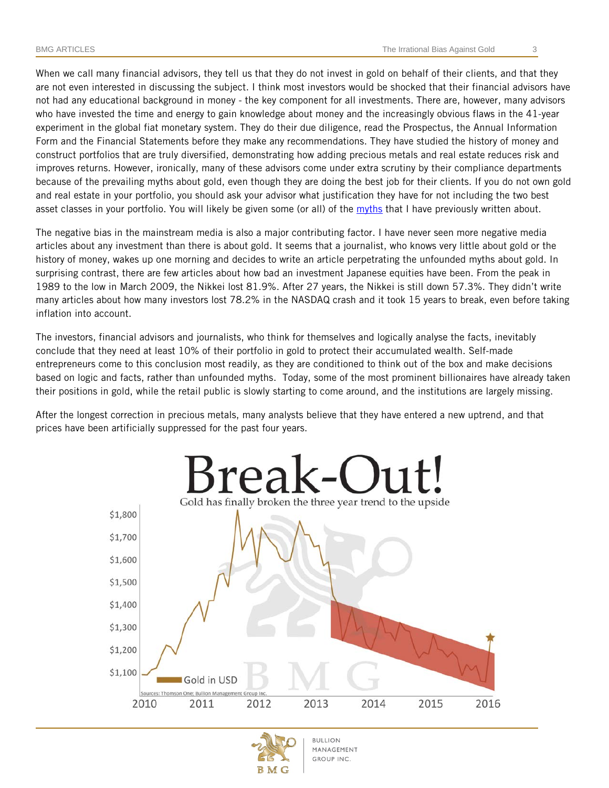When we call many financial advisors, they tell us that they do not invest in gold on behalf of their clients, and that they are not even interested in discussing the subject. I think most investors would be shocked that their financial advisors have not had any educational background in money - the key component for all investments. There are, however, many advisors who have invested the time and energy to gain knowledge about money and the increasingly obvious flaws in the 41-year experiment in the global fiat monetary system. They do their due diligence, read the Prospectus, the Annual Information Form and the Financial Statements before they make any recommendations. They have studied the history of money and construct portfolios that are truly diversified, demonstrating how adding precious metals and real estate reduces risk and improves returns. However, ironically, many of these advisors come under extra scrutiny by their compliance departments because of the prevailing myths about gold, even though they are doing the best job for their clients. If you do not own gold and real estate in your portfolio, you should ask your advisor what justification they have for not including the two best asset classes in your portfolio. You will likely be given some (or all) of the [myths](http://bmgbullion.com/six-biggest-myths-about-gold/) that I have previously written about.

The negative bias in the mainstream media is also a major contributing factor. I have never seen more negative media articles about any investment than there is about gold. It seems that a journalist, who knows very little about gold or the history of money, wakes up one morning and decides to write an article perpetrating the unfounded myths about gold. In surprising contrast, there are few articles about how bad an investment Japanese equities have been. From the peak in 1989 to the low in March 2009, the Nikkei lost 81.9%. After 27 years, the Nikkei is still down 57.3%. They didn't write many articles about how many investors lost 78.2% in the NASDAQ crash and it took 15 years to break, even before taking inflation into account.

The investors, financial advisors and journalists, who think for themselves and logically analyse the facts, inevitably conclude that they need at least 10% of their portfolio in gold to protect their accumulated wealth. Self-made entrepreneurs come to this conclusion most readily, as they are conditioned to think out of the box and make decisions based on logic and facts, rather than unfounded myths. Today, some of the most prominent billionaires have already taken their positions in gold, while the retail public is slowly starting to come around, and the institutions are largely missing.

After the longest correction in precious metals, many analysts believe that they have entered a new uptrend, and that prices have been artificially suppressed for the past four years.



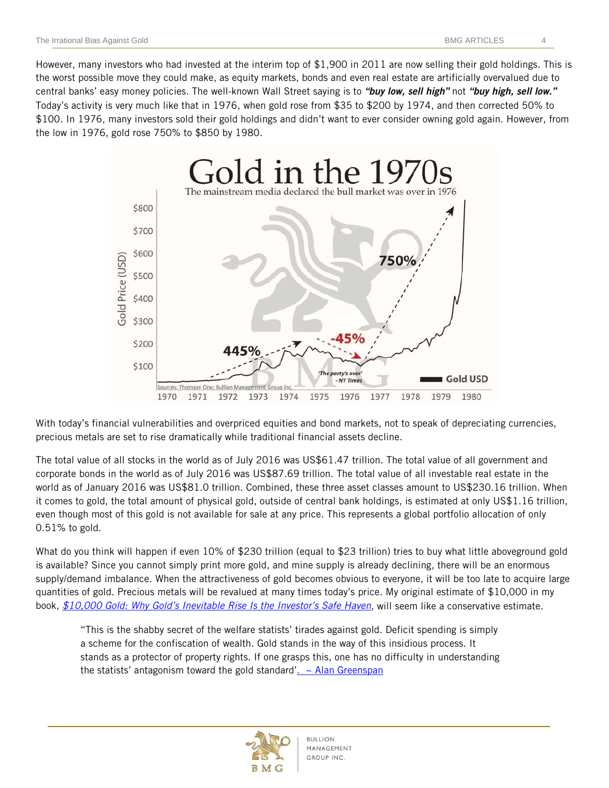However, many investors who had invested at the interim top of \$1,900 in 2011 are now selling their gold holdings. This is the worst possible move they could make, as equity markets, bonds and even real estate are artificially overvalued due to central banks' easy money policies. The well-known Wall Street saying is to *"buy low, sell high"* not *"buy high, sell low."*  Today's activity is very much like that in 1976, when gold rose from \$35 to \$200 by 1974, and then corrected 50% to \$100. In 1976, many investors sold their gold holdings and didn't want to ever consider owning gold again. However, from the low in 1976, gold rose 750% to \$850 by 1980.



With today's financial vulnerabilities and overpriced equities and bond markets, not to speak of depreciating currencies, precious metals are set to rise dramatically while traditional financial assets decline.

The total value of all stocks in the world as of July 2016 was US\$61.47 trillion. The total value of all government and corporate bonds in the world as of July 2016 was US\$87.69 trillion. The total value of all investable real estate in the world as of January 2016 was US\$81.0 trillion. Combined, these three asset classes amount to US\$230.16 trillion. When it comes to gold, the total amount of physical gold, outside of central bank holdings, is estimated at only US\$1.16 trillion, even though most of this gold is not available for sale at any price. This represents a global portfolio allocation of only 0.51% to gold.

What do you think will happen if even 10% of \$230 trillion (equal to \$23 trillion) tries to buy what little aboveground gold is available? Since you cannot simply print more gold, and mine supply is already declining, there will be an enormous supply/demand imbalance. When the attractiveness of gold becomes obvious to everyone, it will be too late to acquire large quantities of gold. Precious metals will be revalued at many times today's price. My original estimate of \$10,000 in my book, *[\\$10,000 Gold: Why Gold's Inevitable Rise Is the Investor's Safe Haven](http://10000goldbook.com/)*, will seem like a conservative estimate.

"This is the shabby secret of the welfare statists' tirades against gold. Deficit spending is simply a scheme for the confiscation of wealth. Gold stands in the way of this insidious process. It stands as a protector of property rights. If one grasps this, one has no difficulty in understanding the statists' antagonism toward the gold standard'.  $\sim$  Alan Greenspan